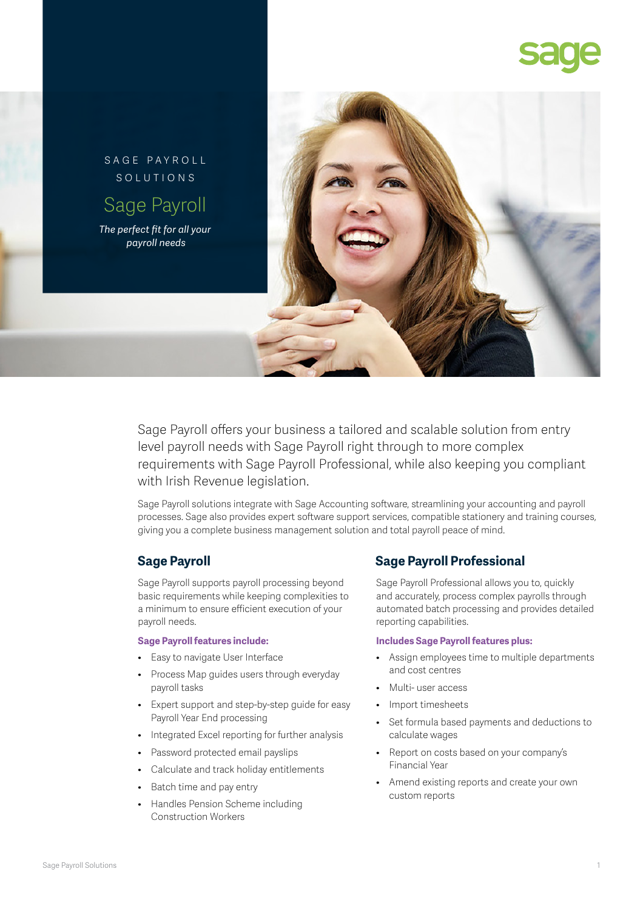



Sage Payroll offers your business a tailored and scalable solution from entry level payroll needs with Sage Payroll right through to more complex requirements with Sage Payroll Professional, while also keeping you compliant with Irish Revenue legislation.

Sage Payroll solutions integrate with Sage Accounting software, streamlining your accounting and payroll processes. Sage also provides expert software support services, compatible stationery and training courses, giving you a complete business management solution and total payroll peace of mind.

Sage Payroll supports payroll processing beyond basic requirements while keeping complexities to a minimum to ensure efficient execution of your payroll needs.

### **Sage Payroll features include:**

- Easy to navigate User Interface
- Process Map guides users through everyday payroll tasks
- Expert support and step-by-step guide for easy Payroll Year End processing
- Integrated Excel reporting for further analysis
- Password protected email payslips
- Calculate and track holiday entitlements
- Batch time and pay entry
- Handles Pension Scheme including Construction Workers

# **Sage Payroll Sage Payroll Professional**

Sage Payroll Professional allows you to, quickly and accurately, process complex payrolls through automated batch processing and provides detailed reporting capabilities.

## **Includes Sage Payroll features plus:**

- Assign employees time to multiple departments and cost centres
- Multi- user access
- Import timesheets
- Set formula based payments and deductions to calculate wages
- Report on costs based on your company's Financial Year
- Amend existing reports and create your own custom reports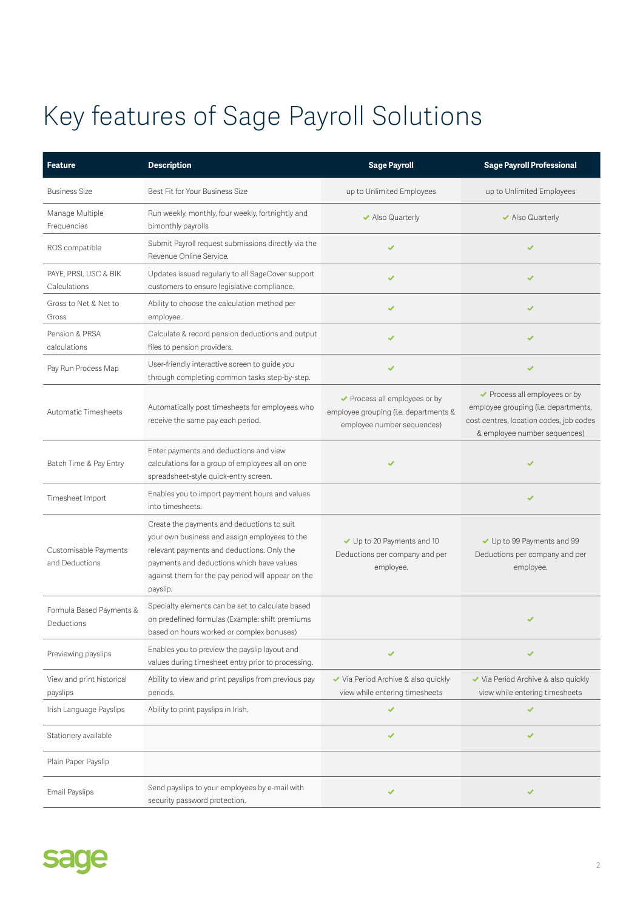# Key features of Sage Payroll Solutions

| <b>Feature</b>                          | <b>Description</b>                                                                                                                                                                                                                                       | <b>Sage Payroll</b>                                                                                  | <b>Sage Payroll Professional</b>                                                                                                                 |
|-----------------------------------------|----------------------------------------------------------------------------------------------------------------------------------------------------------------------------------------------------------------------------------------------------------|------------------------------------------------------------------------------------------------------|--------------------------------------------------------------------------------------------------------------------------------------------------|
| <b>Business Size</b>                    | Best Fit for Your Business Size                                                                                                                                                                                                                          | up to Unlimited Employees                                                                            | up to Unlimited Employees                                                                                                                        |
| Manage Multiple<br>Frequencies          | Run weekly, monthly, four weekly, fortnightly and<br>bimonthly payrolls                                                                                                                                                                                  | ✔ Also Quarterly                                                                                     | ✔ Also Quarterly                                                                                                                                 |
| ROS compatible                          | Submit Payroll request submissions directly via the<br>Revenue Online Service.                                                                                                                                                                           | ✔                                                                                                    | ✔                                                                                                                                                |
| PAYE, PRSI, USC & BIK<br>Calculations   | Updates issued regularly to all SageCover support<br>customers to ensure legislative compliance.                                                                                                                                                         |                                                                                                      | ✔                                                                                                                                                |
| Gross to Net & Net to<br>Gross          | Ability to choose the calculation method per<br>employee.                                                                                                                                                                                                | ✔                                                                                                    | ✔                                                                                                                                                |
| Pension & PRSA<br>calculations          | Calculate & record pension deductions and output<br>files to pension providers.                                                                                                                                                                          | ✔                                                                                                    | ✔                                                                                                                                                |
| Pay Run Process Map                     | User-friendly interactive screen to guide you<br>through completing common tasks step-by-step.                                                                                                                                                           |                                                                                                      | ✔                                                                                                                                                |
| Automatic Timesheets                    | Automatically post timesheets for employees who<br>receive the same pay each period.                                                                                                                                                                     | ◆ Process all employees or by<br>employee grouping (i.e. departments &<br>employee number sequences) | ◆ Process all employees or by<br>employee grouping (i.e. departments,<br>cost centres, location codes, job codes<br>& employee number sequences) |
| Batch Time & Pay Entry                  | Enter payments and deductions and view<br>calculations for a group of employees all on one<br>spreadsheet-style quick-entry screen.                                                                                                                      |                                                                                                      | ✔                                                                                                                                                |
| Timesheet Import                        | Enables you to import payment hours and values<br>into timesheets.                                                                                                                                                                                       |                                                                                                      | ✔                                                                                                                                                |
| Customisable Payments<br>and Deductions | Create the payments and deductions to suit<br>your own business and assign employees to the<br>relevant payments and deductions. Only the<br>payments and deductions which have values<br>against them for the pay period will appear on the<br>payslip. | Up to 20 Payments and 10<br>Deductions per company and per<br>employee.                              | ↓ Up to 99 Payments and 99<br>Deductions per company and per<br>employee.                                                                        |
| Formula Based Payments &<br>Deductions  | Specialty elements can be set to calculate based<br>on predefined formulas (Example: shift premiums<br>based on hours worked or complex bonuses)                                                                                                         |                                                                                                      |                                                                                                                                                  |
| Previewing payslips                     | Enables you to preview the payslip layout and<br>values during timesheet entry prior to processing.                                                                                                                                                      |                                                                                                      |                                                                                                                                                  |
| View and print historical<br>payslips   | Ability to view and print payslips from previous pay<br>periods.                                                                                                                                                                                         | ◆ Via Period Archive & also quickly<br>view while entering timesheets                                | ◆ Via Period Archive & also quickly<br>view while entering timesheets                                                                            |
| Irish Language Payslips                 | Ability to print payslips in Irish.                                                                                                                                                                                                                      |                                                                                                      | ✔                                                                                                                                                |
| Stationery available                    |                                                                                                                                                                                                                                                          | ✔                                                                                                    | ✔                                                                                                                                                |
| Plain Paper Payslip                     |                                                                                                                                                                                                                                                          |                                                                                                      |                                                                                                                                                  |
| Email Payslips                          | Send payslips to your employees by e-mail with<br>security password protection.                                                                                                                                                                          | ✔                                                                                                    | ✔                                                                                                                                                |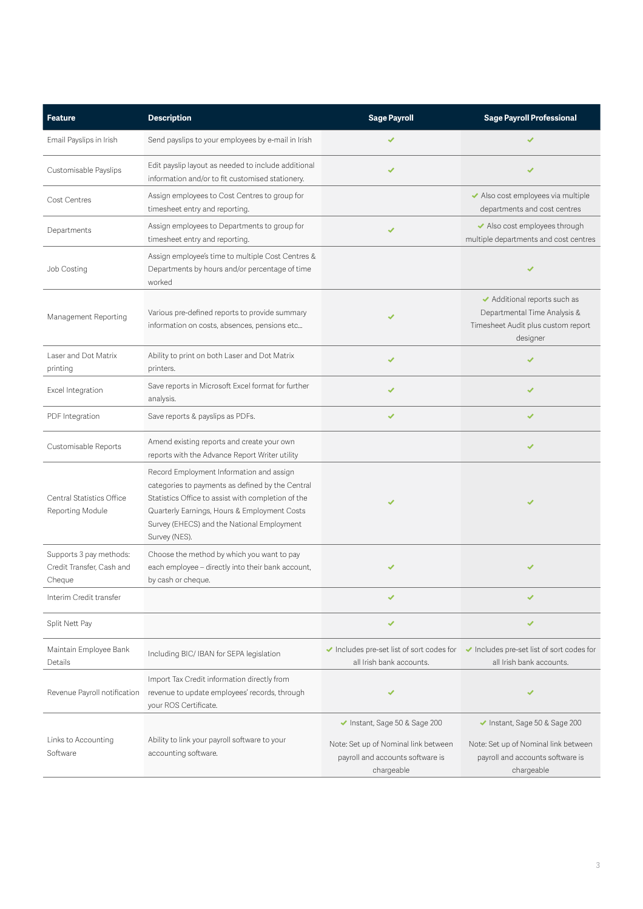| <b>Feature</b>                                                 | <b>Description</b>                                                                                                                                                                                                                                                | <b>Sage Payroll</b>                                                                                                     | <b>Sage Payroll Professional</b>                                                                                        |
|----------------------------------------------------------------|-------------------------------------------------------------------------------------------------------------------------------------------------------------------------------------------------------------------------------------------------------------------|-------------------------------------------------------------------------------------------------------------------------|-------------------------------------------------------------------------------------------------------------------------|
| Email Payslips in Irish                                        | Send payslips to your employees by e-mail in Irish                                                                                                                                                                                                                |                                                                                                                         |                                                                                                                         |
| Customisable Payslips                                          | Edit payslip layout as needed to include additional<br>information and/or to fit customised stationery.                                                                                                                                                           |                                                                                                                         |                                                                                                                         |
| Cost Centres                                                   | Assign employees to Cost Centres to group for<br>timesheet entry and reporting.                                                                                                                                                                                   |                                                                                                                         | ◆ Also cost employees via multiple<br>departments and cost centres                                                      |
| Departments                                                    | Assign employees to Departments to group for<br>timesheet entry and reporting.                                                                                                                                                                                    | ✔                                                                                                                       | ◆ Also cost employees through<br>multiple departments and cost centres                                                  |
| Job Costing                                                    | Assign employee's time to multiple Cost Centres &<br>Departments by hours and/or percentage of time<br>worked                                                                                                                                                     |                                                                                                                         |                                                                                                                         |
| Management Reporting                                           | Various pre-defined reports to provide summary<br>information on costs, absences, pensions etc                                                                                                                                                                    |                                                                                                                         | ◆ Additional reports such as<br>Departmental Time Analysis &<br>Timesheet Audit plus custom report<br>designer          |
| Laser and Dot Matrix<br>printing                               | Ability to print on both Laser and Dot Matrix<br>printers.                                                                                                                                                                                                        | ✔                                                                                                                       |                                                                                                                         |
| Excel Integration                                              | Save reports in Microsoft Excel format for further<br>analysis.                                                                                                                                                                                                   |                                                                                                                         | ✔                                                                                                                       |
| PDF Integration                                                | Save reports & payslips as PDFs.                                                                                                                                                                                                                                  | ✔                                                                                                                       | ✔                                                                                                                       |
| Customisable Reports                                           | Amend existing reports and create your own<br>reports with the Advance Report Writer utility                                                                                                                                                                      |                                                                                                                         | ✔                                                                                                                       |
| Central Statistics Office<br>Reporting Module                  | Record Employment Information and assign<br>categories to payments as defined by the Central<br>Statistics Office to assist with completion of the<br>Quarterly Earnings, Hours & Employment Costs<br>Survey (EHECS) and the National Employment<br>Survey (NES). |                                                                                                                         |                                                                                                                         |
| Supports 3 pay methods:<br>Credit Transfer, Cash and<br>Cheque | Choose the method by which you want to pay<br>each employee - directly into their bank account,<br>by cash or cheque.                                                                                                                                             |                                                                                                                         | ✔                                                                                                                       |
| Interim Credit transfer                                        |                                                                                                                                                                                                                                                                   |                                                                                                                         |                                                                                                                         |
| Split Nett Pay                                                 |                                                                                                                                                                                                                                                                   | ✔                                                                                                                       | ✔                                                                                                                       |
| Maintain Employee Bank<br>Details                              | Including BIC/ IBAN for SEPA legislation                                                                                                                                                                                                                          | Includes pre-set list of sort codes for<br>all Irish bank accounts.                                                     | Includes pre-set list of sort codes for<br>all Irish bank accounts.                                                     |
| Revenue Payroll notification                                   | Import Tax Credit information directly from<br>revenue to update employees' records, through<br>your ROS Certificate.                                                                                                                                             | ✔                                                                                                                       | ✔                                                                                                                       |
| Links to Accounting<br>Software                                | Ability to link your payroll software to your<br>accounting software.                                                                                                                                                                                             | ◆ Instant, Sage 50 & Sage 200<br>Note: Set up of Nominal link between<br>payroll and accounts software is<br>chargeable | ◆ Instant, Sage 50 & Sage 200<br>Note: Set up of Nominal link between<br>payroll and accounts software is<br>chargeable |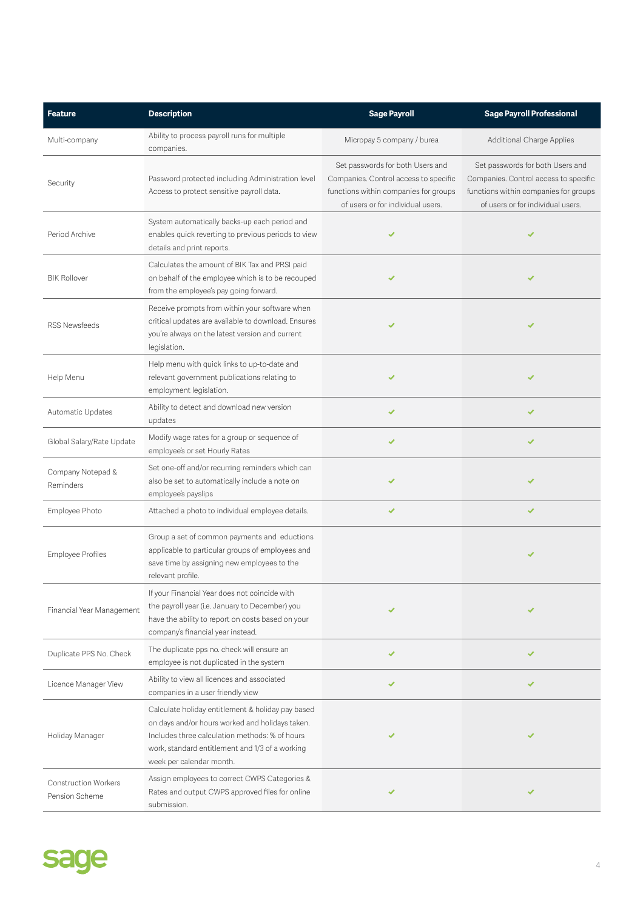| <b>Feature</b>                                | <b>Description</b>                                                                                                                                                                                                                    | <b>Sage Payroll</b>                                                                                                                                     | <b>Sage Payroll Professional</b>                                                                                                                        |
|-----------------------------------------------|---------------------------------------------------------------------------------------------------------------------------------------------------------------------------------------------------------------------------------------|---------------------------------------------------------------------------------------------------------------------------------------------------------|---------------------------------------------------------------------------------------------------------------------------------------------------------|
| Multi-company                                 | Ability to process payroll runs for multiple<br>companies.                                                                                                                                                                            | Micropay 5 company / burea                                                                                                                              | Additional Charge Applies                                                                                                                               |
| Security                                      | Password protected including Administration level<br>Access to protect sensitive payroll data.                                                                                                                                        | Set passwords for both Users and<br>Companies. Control access to specific<br>functions within companies for groups<br>of users or for individual users. | Set passwords for both Users and<br>Companies. Control access to specific<br>functions within companies for groups<br>of users or for individual users. |
| Period Archive                                | System automatically backs-up each period and<br>enables quick reverting to previous periods to view<br>details and print reports.                                                                                                    | ✔                                                                                                                                                       | ✔                                                                                                                                                       |
| <b>BIK Rollover</b>                           | Calculates the amount of BIK Tax and PRSI paid<br>on behalf of the employee which is to be recouped<br>from the employee's pay going forward.                                                                                         |                                                                                                                                                         |                                                                                                                                                         |
| <b>RSS Newsfeeds</b>                          | Receive prompts from within your software when<br>critical updates are available to download. Ensures<br>you're always on the latest version and current<br>legislation.                                                              | ✔                                                                                                                                                       | ✔                                                                                                                                                       |
| Help Menu                                     | Help menu with quick links to up-to-date and<br>relevant government publications relating to<br>employment legislation.                                                                                                               |                                                                                                                                                         | ✔                                                                                                                                                       |
| Automatic Updates                             | Ability to detect and download new version<br>updates                                                                                                                                                                                 |                                                                                                                                                         | ✔                                                                                                                                                       |
| Global Salary/Rate Update                     | Modify wage rates for a group or sequence of<br>employee's or set Hourly Rates                                                                                                                                                        | ✔                                                                                                                                                       | ✔                                                                                                                                                       |
| Company Notepad &<br>Reminders                | Set one-off and/or recurring reminders which can<br>also be set to automatically include a note on<br>employee's payslips                                                                                                             |                                                                                                                                                         | ✔                                                                                                                                                       |
| Employee Photo                                | Attached a photo to individual employee details.                                                                                                                                                                                      | ✔                                                                                                                                                       | ✔                                                                                                                                                       |
| <b>Employee Profiles</b>                      | Group a set of common payments and eductions<br>applicable to particular groups of employees and<br>save time by assigning new employees to the<br>relevant profile.                                                                  |                                                                                                                                                         | ✔                                                                                                                                                       |
| Financial Year Management                     | If your Financial Year does not coincide with<br>the payroll year (i.e. January to December) you<br>have the ability to report on costs based on your<br>company's financial year instead.                                            |                                                                                                                                                         |                                                                                                                                                         |
| Duplicate PPS No. Check                       | The duplicate pps no. check will ensure an<br>employee is not duplicated in the system                                                                                                                                                |                                                                                                                                                         |                                                                                                                                                         |
| Licence Manager View                          | Ability to view all licences and associated<br>companies in a user friendly view                                                                                                                                                      | ✔                                                                                                                                                       | ✔                                                                                                                                                       |
| Holiday Manager                               | Calculate holiday entitlement & holiday pay based<br>on days and/or hours worked and holidays taken.<br>Includes three calculation methods: % of hours<br>work, standard entitlement and 1/3 of a working<br>week per calendar month. |                                                                                                                                                         |                                                                                                                                                         |
| <b>Construction Workers</b><br>Pension Scheme | Assign employees to correct CWPS Categories &<br>Rates and output CWPS approved files for online<br>submission.                                                                                                                       |                                                                                                                                                         |                                                                                                                                                         |